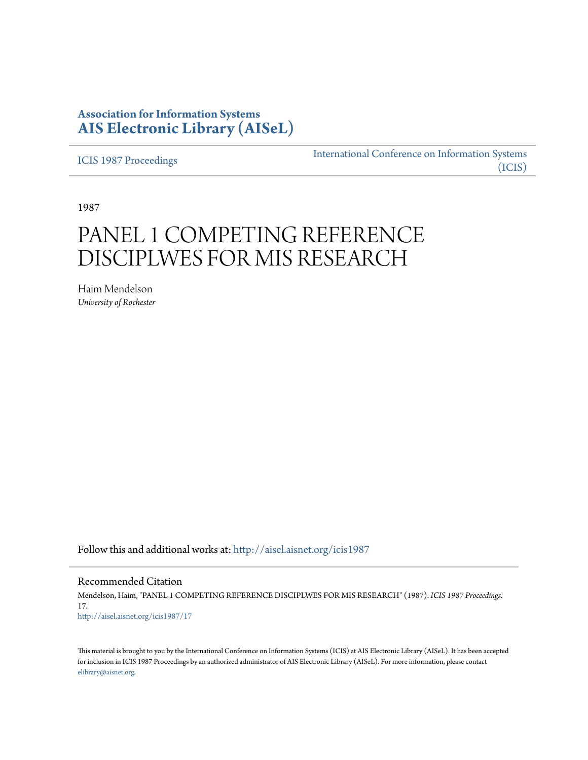## **Association for Information Systems [AIS Electronic Library \(AISeL\)](http://aisel.aisnet.org?utm_source=aisel.aisnet.org%2Ficis1987%2F17&utm_medium=PDF&utm_campaign=PDFCoverPages)**

[ICIS 1987 Proceedings](http://aisel.aisnet.org/icis1987?utm_source=aisel.aisnet.org%2Ficis1987%2F17&utm_medium=PDF&utm_campaign=PDFCoverPages)

[International Conference on Information Systems](http://aisel.aisnet.org/icis?utm_source=aisel.aisnet.org%2Ficis1987%2F17&utm_medium=PDF&utm_campaign=PDFCoverPages) [\(ICIS\)](http://aisel.aisnet.org/icis?utm_source=aisel.aisnet.org%2Ficis1987%2F17&utm_medium=PDF&utm_campaign=PDFCoverPages)

1987

# PANEL 1 COMPETING REFERENCE DISCIPLWES FOR MIS RESEARCH

Haim Mendelson *University of Rochester*

Follow this and additional works at: [http://aisel.aisnet.org/icis1987](http://aisel.aisnet.org/icis1987?utm_source=aisel.aisnet.org%2Ficis1987%2F17&utm_medium=PDF&utm_campaign=PDFCoverPages)

Recommended Citation

Mendelson, Haim, "PANEL 1 COMPETING REFERENCE DISCIPLWES FOR MIS RESEARCH" (1987). *ICIS 1987 Proceedings*. 17. [http://aisel.aisnet.org/icis1987/17](http://aisel.aisnet.org/icis1987/17?utm_source=aisel.aisnet.org%2Ficis1987%2F17&utm_medium=PDF&utm_campaign=PDFCoverPages)

This material is brought to you by the International Conference on Information Systems (ICIS) at AIS Electronic Library (AISeL). It has been accepted for inclusion in ICIS 1987 Proceedings by an authorized administrator of AIS Electronic Library (AISeL). For more information, please contact [elibrary@aisnet.org.](mailto:elibrary@aisnet.org%3E)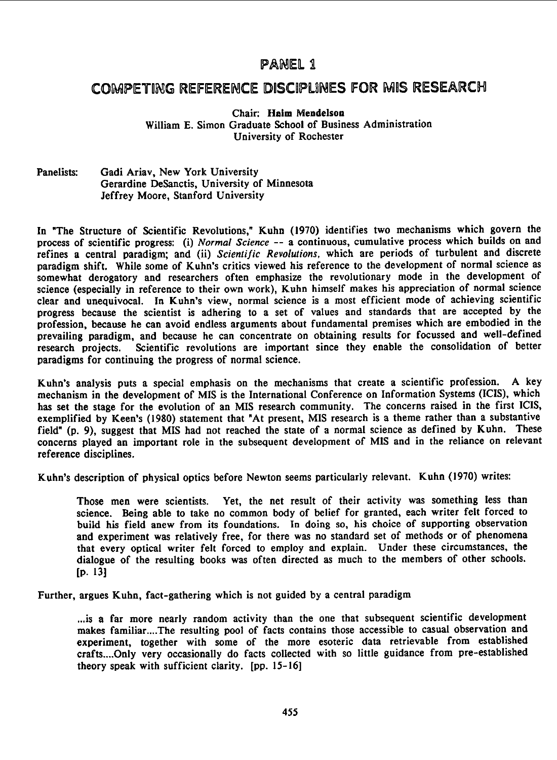### PANEL 1

## COMPETING REFERENCE DISCIPLWES FOR MIS RESEARCH

#### Chair: Haim Mendelson

William E. Simon Graduate School of Business Administration University of Rochester

#### Panelists: Gadi Ariav, New York University Gerardine DeSanctis, University of Minnesota Jeffrey Moore, Stanford University

In "The Structure of Scientific Revolutions," Kuhn (1970) identifies two mechanisms which govern the process of scientific progress: (i) Normal Science -- a continuous, cumulative process which builds on and refines a central paradigm; and (ii) Scientific Revolutions, which are periods of turbulent and discrete paradigm shift. While some of Kuhn's critics viewed his reference to the development of normal science as somewhat derogatory and researchers often emphasize the revolutionary mode in the development of science (especially in reference to their own work), Kuhn himself makes his appreciation of normal science clear and unequivocal. In Kuhn's view, normal science is <sup>a</sup> most efficient mode of achieving scientific progress because the scientist is adhering to <sup>a</sup> set of values and standards that are accepted by the profession, because he can avoid endless arguments about fundamental premises which are embodied in the prevailing paradigm, and because he can concentrate on obtaining results for focussed and well-defined research projects. Scientific revolutions are important since they enable the consolidation of better paradigms for continuing the progress of normal science.

Kuhn's analysis puts a special emphasis on the mechanisms that create a scientific profession. A key mechanism in the development of MIS is the International Conference on Information Systems (ICIS), which has set the stage for the evolution of an MIS research community. The concerns raised in the first ICIS, exemplified by Keen's (1980) statement that "At present, MIS research is a theme rather than a substantive field" (p. 9), suggest that MIS had not reached the state of <sup>a</sup> normal science as defined by Kuhn. These concerns played an important role in the subsequent development of MIS and in the reliance on relevant reference disciplines.

Kuhn's description of physical optics before Newton seems particularly relevant. Kuhn (1970) writes:

Those men were scientists. Yet, the net result of their activity was something less than science. Being able to take no common body of belief for granted, each writer felt forced to build his field anew from its foundations. In doing so, his choice of supporting observation and experiment was relatively free, for there was no standard set of methods or of phenomena that every optical writer felt forced to employ and explain. Under these circumstances, the dialogue of the resulting books was often directed as much to the members of other schools. [p. 13]

Further, argues Kuhn, fact-gathering which is not guided by a central paradigm

...is a far more nearly random activity than the one that subsequent scientific development makes familiar....The resulting pool of facts contains those accessible to casual observation and experiment, together with some of the more esoteric data retrievable from established crafts....Only very occasionally do facts collected with so little guidance from pre-established theory speak with sufficient clarity. [pp. 15-16]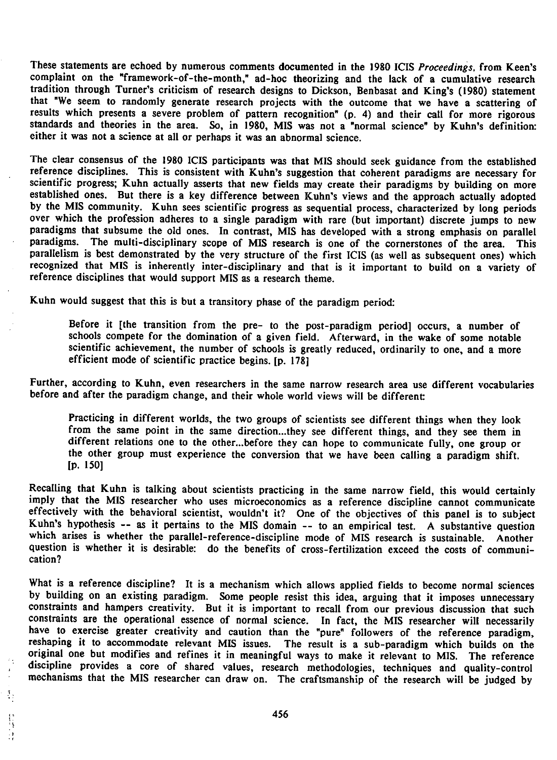These statements are echoed by numerous comments documented in the 1980 ICIS Proceedings, from Keen's complaint on the "framework-of-the-month," ad-hoc theorizing and the lack of a cumulative research tradition through Turner's criticism of research designs to Dickson, Benbasat and King's (1980) statement that "We seem to randomly generate research projects with the outcome that we have a scattering of results which presents <sup>a</sup> severe problem of pattern recognition' (p. 4) and their call for more rigorous standards and theories in the area. So, in 1980, MIS was not a "normal science" by Kuhn's definition: either it was not <sup>a</sup> science at all or perhaps it was an abnormal science.

The clear consensus of the 1980 ICIS participants was that MIS should seek guidance from the established reference disciplines. This is consistent with Kuhn's suggestion that coherent paradigms are necessary for scientific progress; Kuhn actually asserts that new fields may create their paradigms by building on more established ones. But there is <sup>a</sup> key difference between Kuhn's views and the approach actually adopted by the MIS community. Kuhn sees scientific progress as sequential process, characterized by long periods over which the profession adheres to a single paradigm with rare (but important) discrete jumps to new paradigms that subsume the old ones. In contrast, MIS has developed with a strong emphasis on parallel paradigms. The multi-disciplinary scope of MIS research is one of the cornerstones of the area. This parallelism is best demonstrated by the very structure of the first ICIS (as well as subsequent ones) which recognized that MIS is inherently inter-disciplinary and that is it important to build on <sup>a</sup> variety of reference disciplines that would support MIS as a research theme.

Kuhn would suggest that this is but <sup>a</sup> transitory phase of the paradigm period:

Before it [the transition from the pre- to the post-paradigm period] occurs, <sup>a</sup> number of schools compete for the domination of <sup>a</sup> given field. Afterward, in the wake of some notable scientific achievement, the number of schools is greatly reduced, ordinarily to one, and <sup>a</sup> more efficient mode of scientific practice begins. [p. 178]

Further, according to Kuhn, even researchers in the same narrow research area use different vocabularies before and after the paradigm change, and their whole world views will be different

Practicing in different worlds, the two groups of scientists see different things when they look from the same point in the same direction...they see different things, and they see them in different relations one to the other...before they can hope to communicate fully, one group or the other group must experience the conversion that we have been calling a paradigm shift. [p. 150]

Recalling that Kuhn is talking about scientists practicing in the same narrow field. this would certainly imply that the MIS researcher who uses microeconomics as a reference discipline cannot communicate effectively with the behavioral scientist, wouldn't it? One of the objectives of this panel is to subject Kuhn's hypothesis -- as it pertains to the MIS domain -- to an empirical test. A substantive question which arises is whether the parallel-reference-discipline mode of MIS research is sustainable. Another question is whether it is desirable: do the benefits of cross-fertilization exceed the costs of communication?

What is a reference discipline? It is <sup>a</sup> mechanism which allows applied fields to become normal sciences by building on an existing paradigm. Some people resist this idea, arguing that it imposes unnecessary constraints and hampers creativity. But it is important to recall from our previous discussion that such constraints are the operational essence of normal science. In fact, the MIS researcher will necessarily have to exercise greater creativity and caution than the "pure" followers of the reference paradigm, reshaping it to accommodate relevant MIS issues. The result is <sup>a</sup> sub-paradigm which builds on the original one but modifies and refines it in meaningful ways to make it relevant to MIS. The reference , discipline provides <sup>a</sup> core of shared values, research methodologies, techniques and quality-control mechanisms that the MIS researcher can draw on. The craftsmanship of the research will be judged by

 $\begin{bmatrix} 1 \\ 1 \\ 1 \end{bmatrix}$ 

÷,

 $\frac{3}{2}$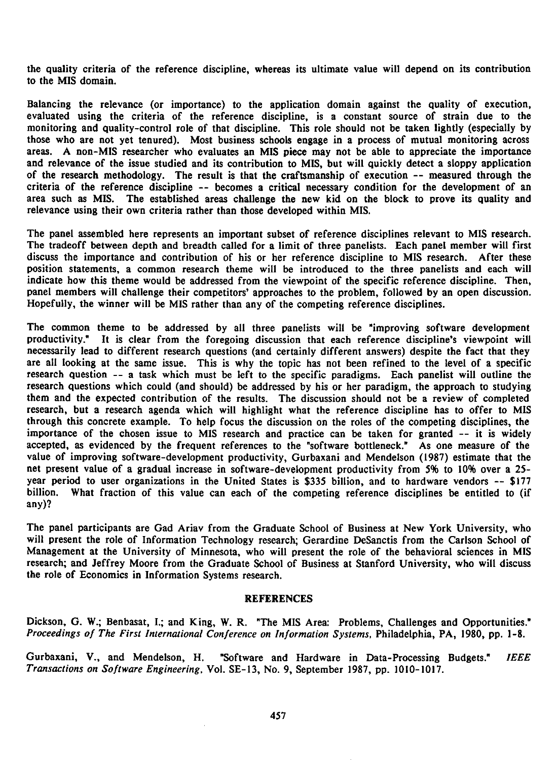the quality criteria of the reference discipline, whereas its ultimate value will depend on its contribution to the MIS domain.

Balancing the relevance (or importance) to the application domain against the quality of execution, evaluated using the criteria of the reference discipline, is <sup>a</sup> constant source of strain due to the monitoring and quality-control role of that discipline. This role should not be taken lightly (especially by those who are not yet tenured). Most business schools engage in <sup>a</sup> process of mutual monitoring across areas. A non-MIS researcher who evaluates an MIS piece may not be able to appreciate the importance and relevance of the issue studied and its contribution to MIS, but will quickly detect a sloppy application of the research methodology. The result is that the craftsmanship of execution -- measured through the criteria of the reference discipline -- becomes <sup>a</sup> critical necessary condition for the development of an area such as MIS. The established areas challenge the new kid on the block to prove its quality and relevance using their own criteria rather than those developed within MIS.

The panel assembled here represents an important subset of reference disciplines relevant to MIS research. The tradeoff between depth and breadth called for a limit of three panelists. Each panel member will first discuss the importance and contribution of his or her reference discipline to MIS research. After these position statements, a common research theme will be introduced to the three panelists and each will indicate how this theme would be addressed from the viewpoint of the specific reference discipline. Then, panel members will challenge their competitors' approaches to the problem, followed by an open discussion. Hopefully, the winner will be MIS rather than any of the competing reference disciplines.

The common theme to be addressed by all three panelists will be "improving software development productivity." It is clear from the foregoing discussion that each reference discipline's viewpoint will necessarily lead to different research questions (and certainly different answers) despite the fact that they are all looking at the same issue. This is why the topic has not been refined to the level of a specific research question -- <sup>a</sup> task which must be left to the specific paradigms. Each panelist will outline the research questions which could (and should) be addressed by his or her paradigm, the approach to studying them and the expected contribution of the results. The discussion should not be <sup>a</sup> review of completed research, but a research agenda which will highlight what the reference discipline has to offer to MIS through this concrete example. To help focus the discussion on the roles of the competing disciplines, the importance of the chosen issue to MIS research and practice can be taken for granted -- it is widely accepted, as evidenced by the frequent references to the "software bottleneck." As one measure of the value of improving software-development productivity, Gurbaxani and Mendelson (1987) estimate that the net present value of <sup>a</sup> gradual increase in software-development productivity from 5% to 10% over <sup>a</sup> 25 year period to user organizations in the United States is \$335 billion, and to hardware vendors -- \$177 billion. What fraction of this value can each of the competing reference disciplines be entitled to (if any)?

The panel participants are Gad Ariav from the Graduate School of Business at New York University, who will present the role of Information Technology research; Gerardine DeSanctis from the Carlson School of Management at the University of Minnesota, who will present the role of the behavioral sciences in MIS research; and Jeffrey Moore from the Graduate School of Business at Stanford University, who will discuss the role of Economics in Information Systems research.

#### REFERENCES

Dickson, G. W.; Benbasat, I.; and King, W. R. "The MIS Area: Problems, Challenges and Opportunities." Proceedings of The First International Conference on Information Systems, Philadelphia, PA, 1980, pp. 1-8.

Gurbaxani, V., and Mendelson, H. "Software and Hardware in Data-Processing Budgets." IEEE Transactions on Software Engineering, Vol. SE-13, No. 9, September 1987, pp. 1010-1017.